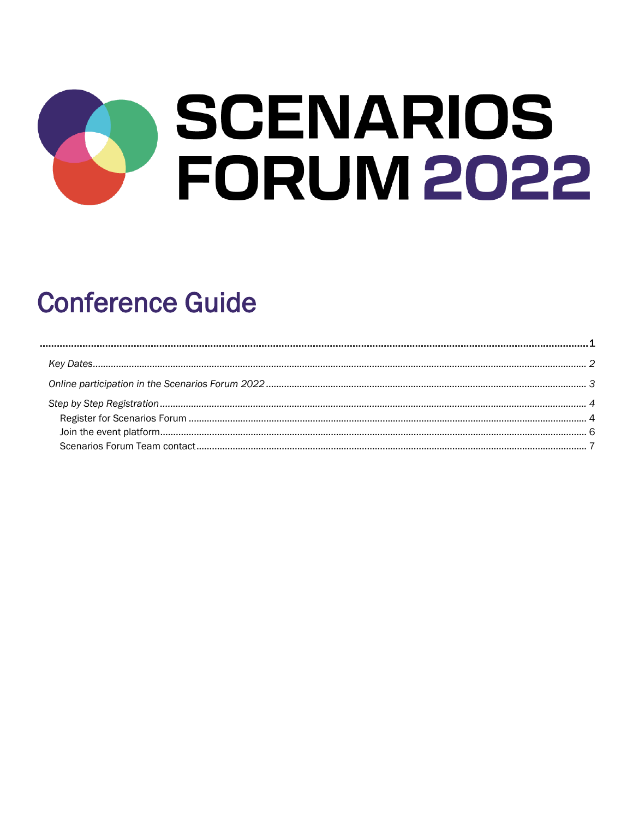# **SCENARIOS FORUM 2022**

## <span id="page-0-0"></span>**Conference Guide**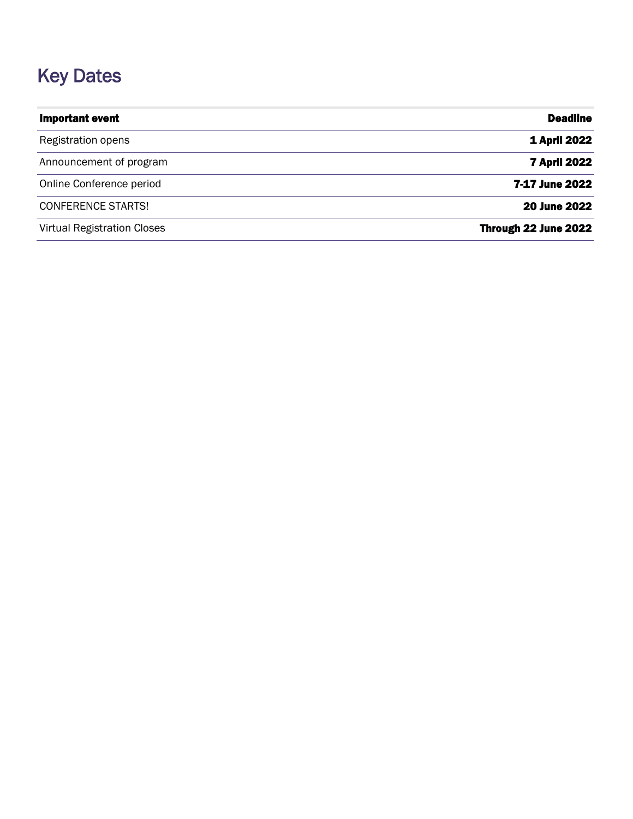## <span id="page-1-0"></span>Key Dates

| <b>Important event</b>             | <b>Deadline</b>      |
|------------------------------------|----------------------|
| Registration opens                 | <b>1 April 2022</b>  |
| Announcement of program            | <b>7 April 2022</b>  |
| Online Conference period           | 7-17 June 2022       |
| <b>CONFERENCE STARTS!</b>          | <b>20 June 2022</b>  |
| <b>Virtual Registration Closes</b> | Through 22 June 2022 |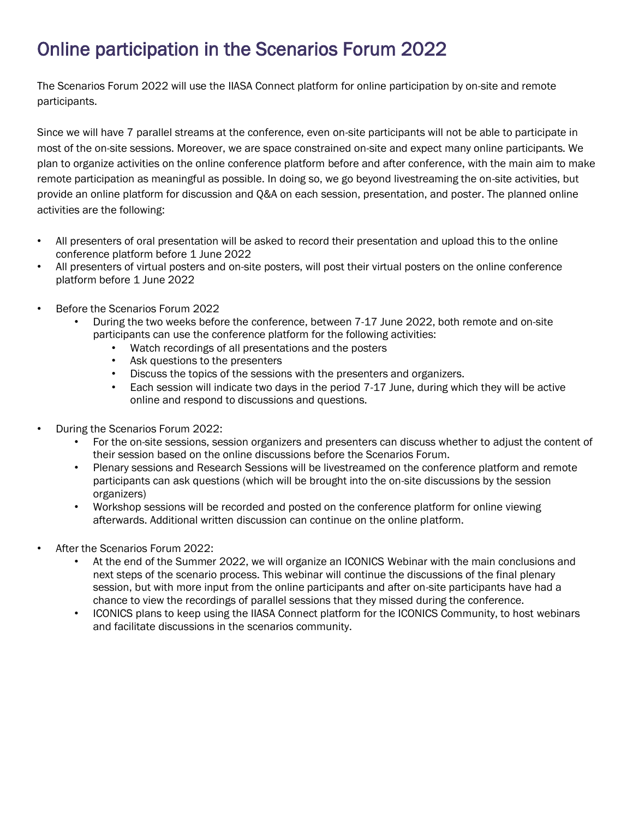## <span id="page-2-0"></span>Online participation in the Scenarios Forum 2022

The Scenarios Forum 2022 will use the IIASA Connect platform for online participation by on-site and remote participants.

Since we will have 7 parallel streams at the conference, even on-site participants will not be able to participate in most of the on-site sessions. Moreover, we are space constrained on-site and expect many online participants. We plan to organize activities on the online conference platform before and after conference, with the main aim to make remote participation as meaningful as possible. In doing so, we go beyond livestreaming the on-site activities, but provide an online platform for discussion and Q&A on each session, presentation, and poster. The planned online activities are the following:

- All presenters of oral presentation will be asked to record their presentation and upload this to the online conference platform before 1 June 2022
- All presenters of virtual posters and on-site posters, will post their virtual posters on the online conference platform before 1 June 2022
- Before the Scenarios Forum 2022
	- During the two weeks before the conference, between 7-17 June 2022, both remote and on-site participants can use the conference platform for the following activities:
		- Watch recordings of all presentations and the posters
		- Ask questions to the presenters
		- Discuss the topics of the sessions with the presenters and organizers.
		- Each session will indicate two days in the period 7-17 June, during which they will be active online and respond to discussions and questions.
- During the Scenarios Forum 2022:
	- For the on-site sessions, session organizers and presenters can discuss whether to adjust the content of their session based on the online discussions before the Scenarios Forum.
	- Plenary sessions and Research Sessions will be livestreamed on the conference platform and remote participants can ask questions (which will be brought into the on-site discussions by the session organizers)
	- Workshop sessions will be recorded and posted on the conference platform for online viewing afterwards. Additional written discussion can continue on the online platform.
- After the Scenarios Forum 2022:
	- At the end of the Summer 2022, we will organize an ICONICS Webinar with the main conclusions and next steps of the scenario process. This webinar will continue the discussions of the final plenary session, but with more input from the online participants and after on-site participants have had a chance to view the recordings of parallel sessions that they missed during the conference.
	- ICONICS plans to keep using the IIASA Connect platform for the ICONICS Community, to host webinars and facilitate discussions in the scenarios community.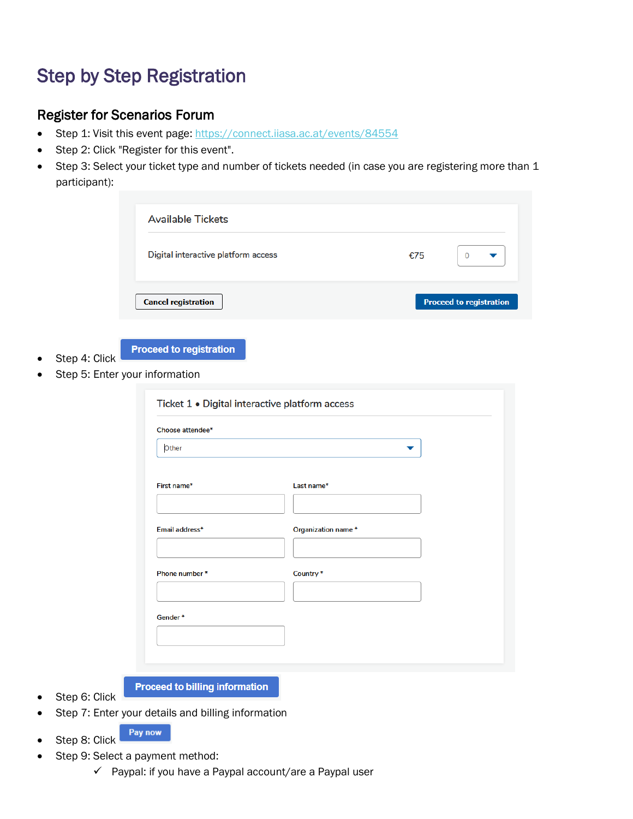### <span id="page-3-0"></span>Step by Step Registration

#### <span id="page-3-1"></span>Register for Scenarios Forum

- Step 1: Visit this event page[: https://connect.iiasa.ac.at/events/84554](https://connect.iiasa.ac.at/events/84554)
- Step 2: Click "Register for this event".
- Step 3: Select your ticket type and number of tickets needed (in case you are registering more than 1 participant):

|                                                                                   | <b>Available Tickets</b>            |                    |                                |  |  |  |
|-----------------------------------------------------------------------------------|-------------------------------------|--------------------|--------------------------------|--|--|--|
|                                                                                   | Digital interactive platform access |                    | €75<br>$\mathbf 0$<br>▼        |  |  |  |
|                                                                                   | <b>Cancel registration</b>          |                    | <b>Proceed to registration</b> |  |  |  |
| <b>Proceed to registration</b><br>Step 4: Click<br>Step 5: Enter your information |                                     |                    |                                |  |  |  |
| Ticket 1 . Digital interactive platform access                                    |                                     |                    |                                |  |  |  |
|                                                                                   |                                     |                    |                                |  |  |  |
|                                                                                   | Choose attendee*                    |                    |                                |  |  |  |
|                                                                                   | Other                               |                    |                                |  |  |  |
|                                                                                   | First name*                         | Last name*         |                                |  |  |  |
|                                                                                   | Email address*                      | Organization name* |                                |  |  |  |
|                                                                                   |                                     |                    |                                |  |  |  |
|                                                                                   | Phone number*                       | Country*           |                                |  |  |  |
|                                                                                   |                                     |                    |                                |  |  |  |
|                                                                                   | Gender*                             |                    |                                |  |  |  |
|                                                                                   |                                     |                    |                                |  |  |  |

- Step 6: Click
- Step 7: Enter your details and billing information

**Proceed to billing information** 

- Pay now Step 8: Click
- Step 9: Select a payment method:
	- ✓ Paypal: if you have a Paypal account/are a Paypal user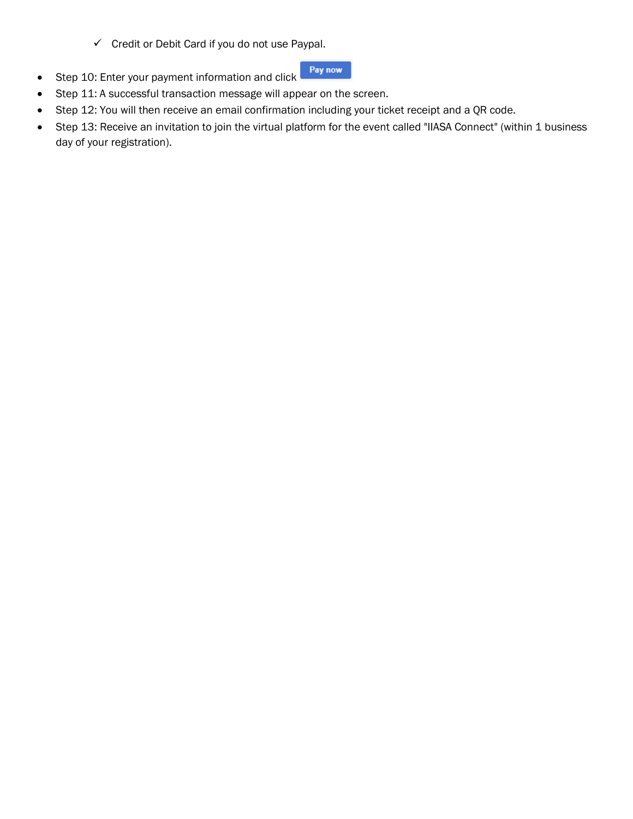✓ Credit or Debit Card if you do not use Paypal.



- Step 10: Enter your payment information and click • Step 11: A successful transaction message will appear on the screen.
- Step 12: You will then receive an email confirmation including your ticket receipt and a QR code.
- Step 13: Receive an invitation to join the virtual platform for the event called "IIASA Connect" (within 1 business day of your registration).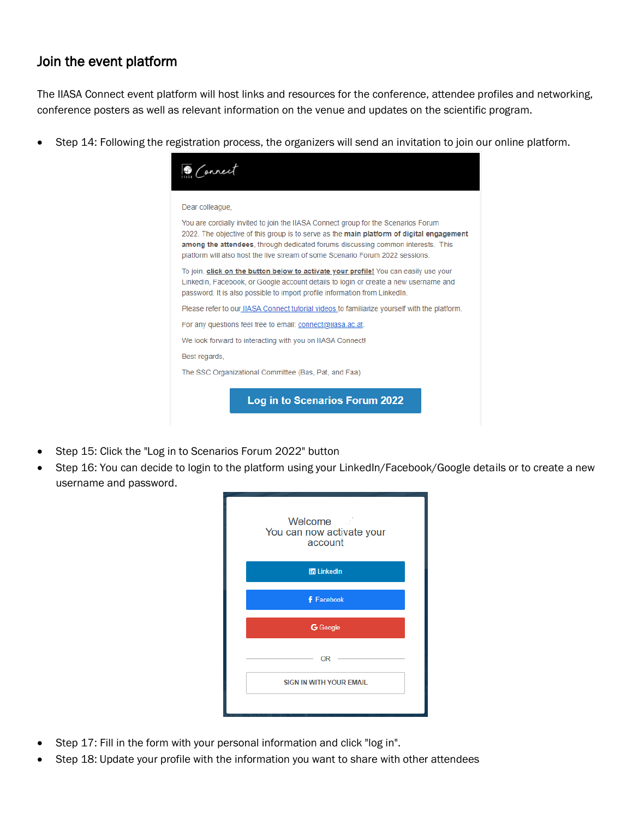#### <span id="page-5-0"></span>Join the event platform

The IIASA Connect event platform will host links and resources for the conference, attendee profiles and networking, conference posters as well as relevant information on the venue and updates on the scientific program.

• Step 14: Following the registration process, the organizers will send an invitation to join our online platform.



- Step 15: Click the "Log in to Scenarios Forum 2022" button
- Step 16: You can decide to login to the platform using your LinkedIn/Facebook/Google details or to create a new username and password.



- Step 17: Fill in the form with your personal information and click "log in".
- Step 18: Update your profile with the information you want to share with other attendees